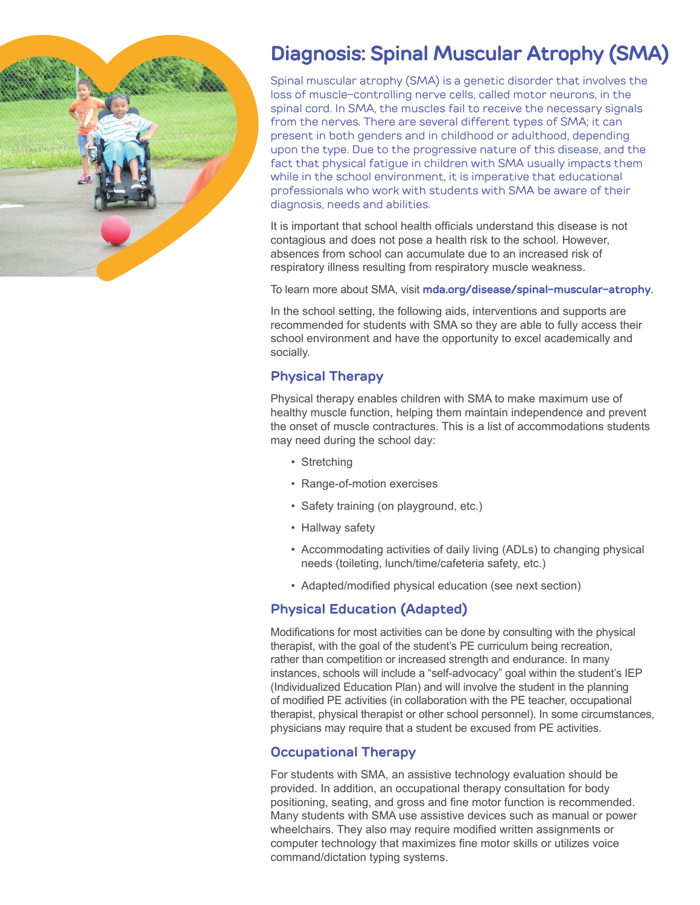

# **Diagnosis: Spinal Muscular Atrophy (SMA)**

Spinal muscular atrophy (SMA) is a genetic disorder that involves the loss of muscle-controlling nerve cells, called motor neurons, in the spinal cord. In SMA, the muscles fail to receive the necessary signals from the nerves. There are several different types of SMA; it can present in both genders and in childhood or adulthood, depending upon the type. Due to the progressive nature of this disease, and the fact that physical fatigue in children with SMA usually impacts them while in the school environment, it is imperative that educational professionals who work with students with SMA be aware of their diagnosis, needs and abilities.

It is important that school health officials understand this disease is not contagious and does not pose a health risk to the school. However, absences from school can accumulate due to an increased risk of respiratory illness resulting from respiratory muscle weakness.

To learn more about SMA, visit **mda.org/disease/spinal-muscular-atrophy**.

In the school setting, the following aids, interventions and supports are recommended for students with SMA so they are able to fully access their school environment and have the opportunity to excel academically and socially.

### **Physical Therapy**

Physical therapy enables children with SMA to make maximum use of healthy muscle function, helping them maintain independence and prevent the onset of muscle contractures. This is a list of accommodations students may need during the school day:

- Stretching
- Range-of-motion exercises
- Safety training (on playground, etc.)
- Hallway safety
- Accommodating activities of daily living (ADLs) to changing physical needs (toileting, lunch/time/cafeteria safety, etc.)
- Adapted/modified physical education (see next section)

#### **Physical Education (Adapted)**

Modifications for most activities can be done by consulting with the physical therapist, with the goal of the student's PE curriculum being recreation, rather than competition or increased strength and endurance. In many instances, schools will include a "self-advocacy" goal within the student's IEP (Individualized Education Plan) and will involve the student in the planning of modified PE activities (in collaboration with the PE teacher, occupational therapist, physical therapist or other school personnel). In some circumstances, physicians may require that a student be excused from PE activities.

#### **Occupational Therapy**

For students with SMA, an assistive technology evaluation should be provided. In addition, an occupational therapy consultation for body positioning, seating, and gross and fine motor function is recommended. Many students with SMA use assistive devices such as manual or power wheelchairs. They also may require modified written assignments or computer technology that maximizes fine motor skills or utilizes voice command/dictation typing systems.